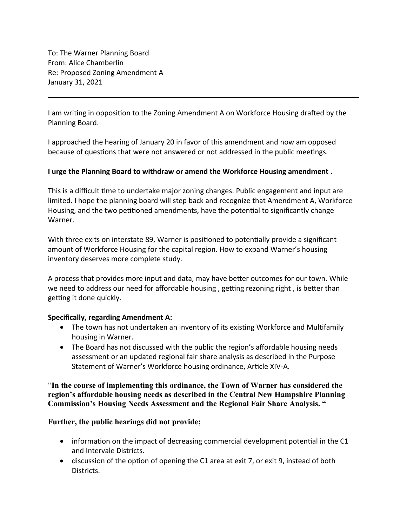To: The Warner Planning Board From: Alice Chamberlin Re: Proposed Zoning Amendment A January 31, 2021

I am writing in opposition to the Zoning Amendment A on Workforce Housing drafted by the Planning Board.

I approached the hearing of January 20 in favor of this amendment and now am opposed because of questions that were not answered or not addressed in the public meetings.

## **I urge the Planning Board to withdraw or amend the Workforce Housing amendment .**

This is a difficult time to undertake major zoning changes. Public engagement and input are limited. I hope the planning board will step back and recognize that Amendment A, Workforce Housing, and the two petitioned amendments, have the potential to significantly change Warner.

With three exits on interstate 89, Warner is positioned to potentially provide a significant amount of Workforce Housing for the capital region. How to expand Warner's housing inventory deserves more complete study.

A process that provides more input and data, may have better outcomes for our town. While we need to address our need for affordable housing , getting rezoning right , is better than getting it done quickly.

## **Specifically, regarding Amendment A:**

- The town has not undertaken an inventory of its existing Workforce and Multifamily housing in Warner.
- The Board has not discussed with the public the region's affordable housing needs assessment or an updated regional fair share analysis as described in the Purpose Statement of Warner's Workforce housing ordinance, Article XIV-A.

"**In the course of implementing this ordinance, the Town of Warner has considered the region's affordable housing needs as described in the Central New Hampshire Planning Commission's Housing Needs Assessment and the Regional Fair Share Analysis. "**

## **Further, the public hearings did not provide;**

- information on the impact of decreasing commercial development potential in the C1 and Intervale Districts.
- discussion of the option of opening the C1 area at exit 7, or exit 9, instead of both Districts.